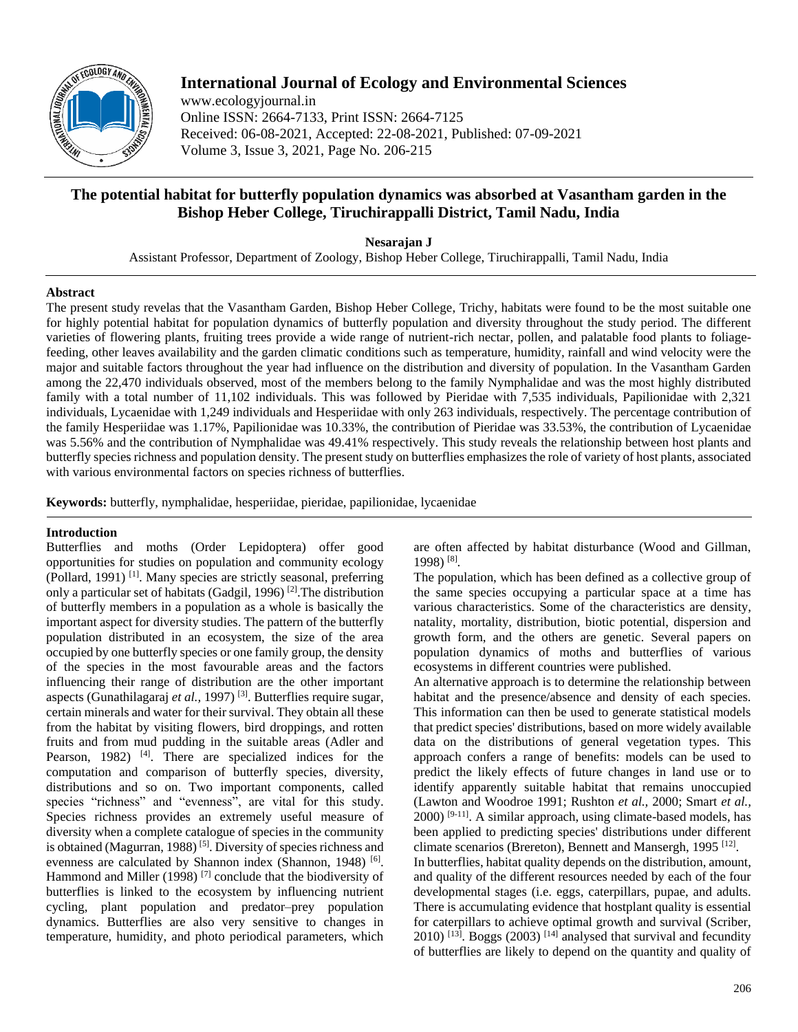

# **International Journal of Ecology and Environmental Sciences**

www.ecologyjournal.in Online ISSN: 2664-7133, Print ISSN: 2664-7125 Received: 06-08-2021, Accepted: 22-08-2021, Published: 07-09-2021 Volume 3, Issue 3, 2021, Page No. 206-215

# **The potential habitat for butterfly population dynamics was absorbed at Vasantham garden in the Bishop Heber College, Tiruchirappalli District, Tamil Nadu, India**

**Nesarajan J**

Assistant Professor, Department of Zoology, Bishop Heber College, Tiruchirappalli, Tamil Nadu, India

### **Abstract**

The present study revelas that the Vasantham Garden, Bishop Heber College, Trichy, habitats were found to be the most suitable one for highly potential habitat for population dynamics of butterfly population and diversity throughout the study period. The different varieties of flowering plants, fruiting trees provide a wide range of nutrient-rich nectar, pollen, and palatable food plants to foliagefeeding, other leaves availability and the garden climatic conditions such as temperature, humidity, rainfall and wind velocity were the major and suitable factors throughout the year had influence on the distribution and diversity of population. In the Vasantham Garden among the 22,470 individuals observed, most of the members belong to the family Nymphalidae and was the most highly distributed family with a total number of 11,102 individuals. This was followed by Pieridae with 7,535 individuals, Papilionidae with 2,321 individuals, Lycaenidae with 1,249 individuals and Hesperiidae with only 263 individuals, respectively. The percentage contribution of the family Hesperiidae was 1.17%, Papilionidae was 10.33%, the contribution of Pieridae was 33.53%, the contribution of Lycaenidae was 5.56% and the contribution of Nymphalidae was 49.41% respectively. This study reveals the relationship between host plants and butterfly species richness and population density. The present study on butterflies emphasizes the role of variety of host plants, associated with various environmental factors on species richness of butterflies.

**Keywords:** butterfly, nymphalidae, hesperiidae, pieridae, papilionidae, lycaenidae

# **Introduction**

Butterflies and moths (Order Lepidoptera) offer good opportunities for studies on population and community ecology (Pollard, 1991) [1]. Many species are strictly seasonal, preferring only a particular set of habitats (Gadgil, 1996) [2].The distribution of butterfly members in a population as a whole is basically the important aspect for diversity studies. The pattern of the butterfly population distributed in an ecosystem, the size of the area occupied by one butterfly species or one family group, the density of the species in the most favourable areas and the factors influencing their range of distribution are the other important aspects (Gunathilagaraj *et al.,* 1997) [3]. Butterflies require sugar, certain minerals and water for their survival. They obtain all these from the habitat by visiting flowers, bird droppings, and rotten fruits and from mud pudding in the suitable areas (Adler and Pearson, 1982) <sup>[4]</sup>. There are specialized indices for the computation and comparison of butterfly species, diversity, distributions and so on. Two important components, called species "richness" and "evenness", are vital for this study. Species richness provides an extremely useful measure of diversity when a complete catalogue of species in the community is obtained (Magurran, 1988) [5]. Diversity of species richness and evenness are calculated by Shannon index (Shannon, 1948)<sup>[6]</sup>. Hammond and Miller (1998)<sup>[7]</sup> conclude that the biodiversity of butterflies is linked to the ecosystem by influencing nutrient cycling, plant population and predator–prey population dynamics. Butterflies are also very sensitive to changes in temperature, humidity, and photo periodical parameters, which

are often affected by habitat disturbance (Wood and Gillman, 1998) [8] .

The population, which has been defined as a collective group of the same species occupying a particular space at a time has various characteristics. Some of the characteristics are density, natality, mortality, distribution, biotic potential, dispersion and growth form, and the others are genetic. Several papers on population dynamics of moths and butterflies of various ecosystems in different countries were published.

An alternative approach is to determine the relationship between habitat and the presence/absence and density of each species. This information can then be used to generate statistical models that predict species' distributions, based on more widely available data on the distributions of general vegetation types. This approach confers a range of benefits: models can be used to predict the likely effects of future changes in land use or to identify apparently suitable habitat that remains unoccupied (Lawton and Woodroe 1991; Rushton *et al.,* 2000; Smart *et al.,*  $2000$ <sup>[9-11]</sup>. A similar approach, using climate-based models, has been applied to predicting species' distributions under different climate scenarios (Brereton), Bennett and Mansergh, 1995<sup>[12]</sup>. In butterflies, habitat quality depends on the distribution, amount, and quality of the different resources needed by each of the four developmental stages (i.e. eggs, caterpillars, pupae, and adults. There is accumulating evidence that hostplant quality is essential for caterpillars to achieve optimal growth and survival (Scriber,  $2010$ ) <sup>[13]</sup>. Boggs (2003) <sup>[14]</sup> analysed that survival and fecundity of butterflies are likely to depend on the quantity and quality of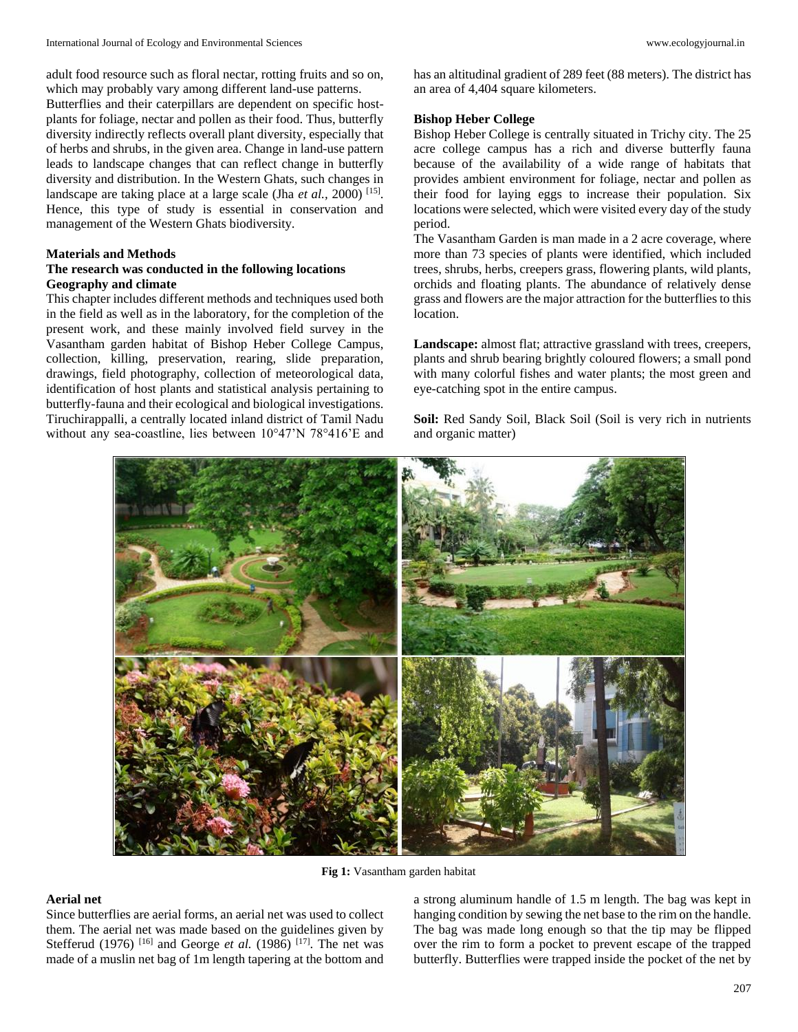adult food resource such as floral nectar, rotting fruits and so on, which may probably vary among different land-use patterns.

Butterflies and their caterpillars are dependent on specific hostplants for foliage, nectar and pollen as their food. Thus, butterfly diversity indirectly reflects overall plant diversity, especially that of herbs and shrubs, in the given area. Change in land-use pattern leads to landscape changes that can reflect change in butterfly diversity and distribution. In the Western Ghats, such changes in landscape are taking place at a large scale (Jha *et al.*, 2000)<sup>[15]</sup>. Hence, this type of study is essential in conservation and management of the Western Ghats biodiversity.

#### **Materials and Methods**

#### **The research was conducted in the following locations Geography and climate**

This chapter includes different methods and techniques used both in the field as well as in the laboratory, for the completion of the present work, and these mainly involved field survey in the Vasantham garden habitat of Bishop Heber College Campus, collection, killing, preservation, rearing, slide preparation, drawings, field photography, collection of meteorological data, identification of host plants and statistical analysis pertaining to butterfly-fauna and their ecological and biological investigations. Tiruchirappalli, a centrally located inland district of Tamil Nadu without any sea-coastline, lies between 10°47'N 78°416'E and

has an altitudinal gradient of 289 feet (88 meters). The district has an area of 4,404 square kilometers.

#### **Bishop Heber College**

Bishop Heber College is centrally situated in Trichy city. The 25 acre college campus has a rich and diverse butterfly fauna because of the availability of a wide range of habitats that provides ambient environment for foliage, nectar and pollen as their food for laying eggs to increase their population. Six locations were selected, which were visited every day of the study period.

The Vasantham Garden is man made in a 2 acre coverage, where more than 73 species of plants were identified, which included trees, shrubs, herbs, creepers grass, flowering plants, wild plants, orchids and floating plants. The abundance of relatively dense grass and flowers are the major attraction for the butterflies to this location.

**Landscape:** almost flat; attractive grassland with trees, creepers, plants and shrub bearing brightly coloured flowers; a small pond with many colorful fishes and water plants; the most green and eye-catching spot in the entire campus.

**Soil:** Red Sandy Soil, Black Soil (Soil is very rich in nutrients and organic matter)



**Fig 1:** Vasantham garden habitat

# **Aerial net**

Since butterflies are aerial forms, an aerial net was used to collect them. The aerial net was made based on the guidelines given by Stefferud (1976)<sup>[16]</sup> and George *et al.* (1986)<sup>[17]</sup>. The net was made of a muslin net bag of 1m length tapering at the bottom and

a strong aluminum handle of 1.5 m length. The bag was kept in hanging condition by sewing the net base to the rim on the handle. The bag was made long enough so that the tip may be flipped over the rim to form a pocket to prevent escape of the trapped butterfly. Butterflies were trapped inside the pocket of the net by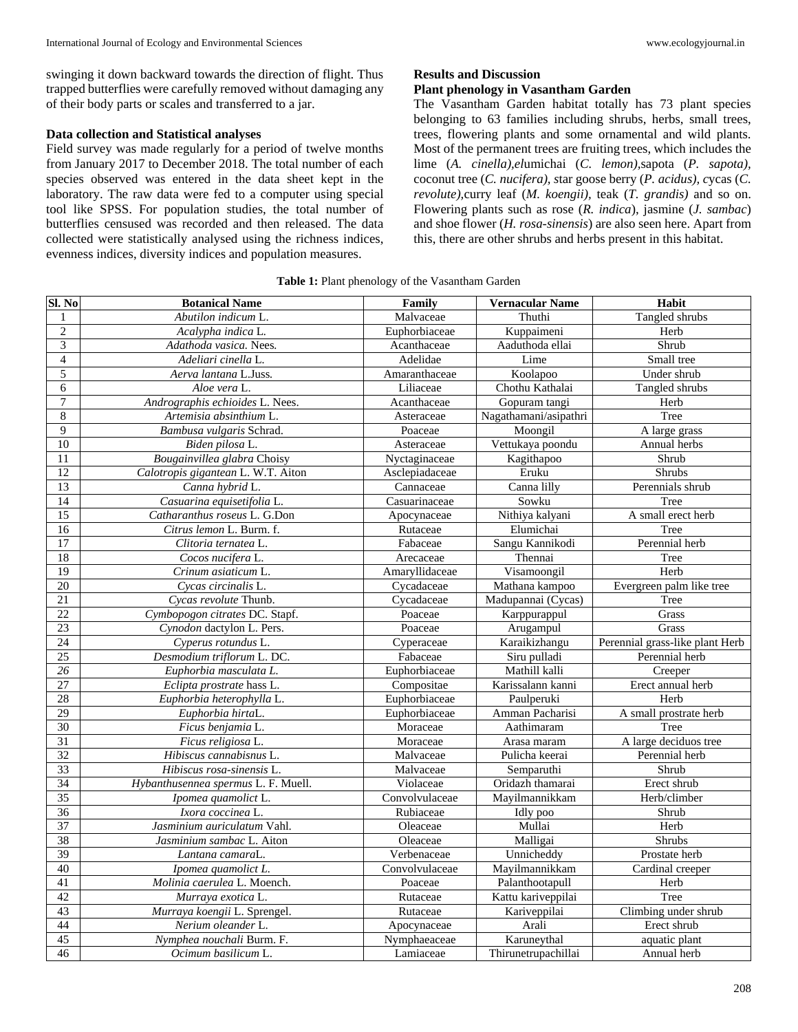#### **Data collection and Statistical analyses**

Field survey was made regularly for a period of twelve months from January 2017 to December 2018. The total number of each species observed was entered in the data sheet kept in the laboratory. The raw data were fed to a computer using special tool like SPSS. For population studies, the total number of butterflies censused was recorded and then released. The data collected were statistically analysed using the richness indices, evenness indices, diversity indices and population measures.

# **Results and Discussion**

#### **Plant phenology in Vasantham Garden**

The Vasantham Garden habitat totally has 73 plant species belonging to 63 families including shrubs, herbs, small trees, trees, flowering plants and some ornamental and wild plants. Most of the permanent trees are fruiting trees, which includes the lime (*A. cinella),el*umichai (*C. lemon),*sapota (*P. sapota),* coconut tree (*C. nucifera), s*tar goose berry (*P. acidus), c*ycas (*C. revolute),*curry leaf (*M. koengii),* teak (*T. grandis)* and so on. Flowering plants such as rose (*R. indica*), jasmine (*J. sambac*) and shoe flower (*H. rosa-sinensis*) are also seen here. Apart from this, there are other shrubs and herbs present in this habitat.

| Sl. No             | <b>Botanical Name</b>               | Family         | <b>Vernacular Name</b> | Habit                           |
|--------------------|-------------------------------------|----------------|------------------------|---------------------------------|
| 1                  | Abutilon indicum L.                 | Malvaceae      | Thuthi                 | Tangled shrubs                  |
| $\mathbf{2}$       | Acalypha indica L.                  | Euphorbiaceae  | Kuppaimeni             | Herb                            |
| $\overline{3}$     | Adathoda vasica. Nees.              | Acanthaceae    | Aaduthoda ellai        | Shrub                           |
| $\overline{4}$     | Adeliari cinella L.                 | Adelidae       | Lime                   | Small tree                      |
| $\overline{5}$     | Aerva lantana L.Juss.               | Amaranthaceae  | Koolapoo               | Under shrub                     |
| 6                  | Aloe vera L.                        | Liliaceae      | Chothu Kathalai        | Tangled shrubs                  |
| 7                  | Andrographis echioides L. Nees.     | Acanthaceae    | Gopuram tangi          | Herb                            |
| $\overline{\bf 8}$ | Artemisia absinthium L.             | Asteraceae     | Nagathamani/asipathri  | Tree                            |
| 9                  | Bambusa vulgaris Schrad.            | Poaceae        | Moongil                | A large grass                   |
| 10                 | Biden pilosa L.                     | Asteraceae     | Vettukaya poondu       | Annual herbs                    |
| 11                 | Bougainvillea glabra Choisy         | Nyctaginaceae  | Kagithapoo             | Shrub                           |
| 12                 | Calotropis gigantean L. W.T. Aiton  | Asclepiadaceae | Eruku                  | Shrubs                          |
| 13                 | Canna hybrid L.                     | Cannaceae      | Canna lilly            | Perennials shrub                |
| 14                 | Casuarina equisetifolia L.          | Casuarinaceae  | Sowku                  | Tree                            |
| $\overline{15}$    | Catharanthus roseus L. G.Don        | Apocynaceae    | Nithiya kalyani        | A small erect herb              |
| 16                 | Citrus lemon L. Burm. f.            | Rutaceae       | Elumichai              | Tree                            |
| 17                 | Clitoria ternatea L.                | Fabaceae       | Sangu Kannikodi        | Perennial herb                  |
| 18                 | Cocos nucifera L.                   | Arecaceae      | Thennai                | Tree                            |
| 19                 | Crinum asiaticum L.                 | Amaryllidaceae | Visamoongil            | Herb                            |
| 20                 | Cycas circinalis L.                 | Cycadaceae     | Mathana kampoo         | Evergreen palm like tree        |
| 21                 | Cycas revolute Thunb.               | Cycadaceae     | Madupannai (Cycas)     | Tree                            |
| 22                 | Cymbopogon citrates DC. Stapf.      | Poaceae        | Karppurappul           | Grass                           |
| 23                 | Cynodon dactylon L. Pers.           | Poaceae        | Arugampul              | Grass                           |
| 24                 | Cyperus rotundus L.                 | Cyperaceae     | Karaikizhangu          | Perennial grass-like plant Herb |
| $\overline{25}$    | Desmodium triflorum L. DC.          | Fabaceae       | Siru pulladi           | Perennial herb                  |
| 26                 | Euphorbia masculata L.              | Euphorbiaceae  | Mathill kalli          | Creeper                         |
| 27                 | Eclipta prostrate hass L.           | Compositae     | Karissalann kanni      | Erect annual herb               |
| 28                 | Euphorbia heterophylla L.           | Euphorbiaceae  | Paulperuki             | Herb                            |
| 29                 | Euphorbia hirtaL.                   | Euphorbiaceae  | Amman Pacharisi        | A small prostrate herb          |
| $\overline{30}$    | Ficus benjamia L.                   | Moraceae       | Aathimaram             | Tree                            |
| 31                 | Ficus religiosa L.                  | Moraceae       | Arasa maram            | A large deciduos tree           |
| 32                 | Hibiscus cannabisnus L.             | Malvaceae      | Pulicha keerai         | Perennial herb                  |
| 33                 | Hibiscus rosa-sinensis L.           | Malvaceae      | Semparuthi             | Shrub                           |
| 34                 | Hybanthusennea spermus L. F. Muell. | Violaceae      | Oridazh thamarai       | Erect shrub                     |
| $\overline{35}$    | Ipomea quamolict L.                 | Convolvulaceae | Mayilmannikkam         | Herb/climber                    |
| $\overline{36}$    | Ixora coccinea L.                   | Rubiaceae      | Idly poo               | Shrub                           |
| $\overline{37}$    | Jasminium auriculatum Vahl.         | Oleaceae       | Mullai                 | Herb                            |
| 38                 | Jasminium sambac L. Aiton           | Oleaceae       | Malligai               | Shrubs                          |
| 39                 | Lantana camaraL.                    | Verbenaceae    | Unnicheddy             | Prostate herb                   |
| 40                 | Ipomea quamolict L.                 | Convolvulaceae | Mayilmannikkam         | Cardinal creeper                |
| 41                 | Molinia caerulea L. Moench.         | Poaceae        | Palanthootapull        | Herb                            |
| $\overline{42}$    | Murraya exotica L.                  | Rutaceae       | Kattu kariveppilai     | Tree                            |
| 43                 | Murraya koengii L. Sprengel.        | Rutaceae       | Kariveppilai           | Climbing under shrub            |
| 44                 | Nerium oleander L.                  | Apocynaceae    | Arali                  | Erect shrub                     |
| $\overline{45}$    | Nymphea nouchali Burm. F.           | Nymphaeaceae   | Karuneythal            | aquatic plant                   |
| 46                 | Ocimum basilicum L.                 | Lamiaceae      | Thirunetrupachillai    | Annual herb                     |

# **Table 1:** Plant phenology of the Vasantham Garden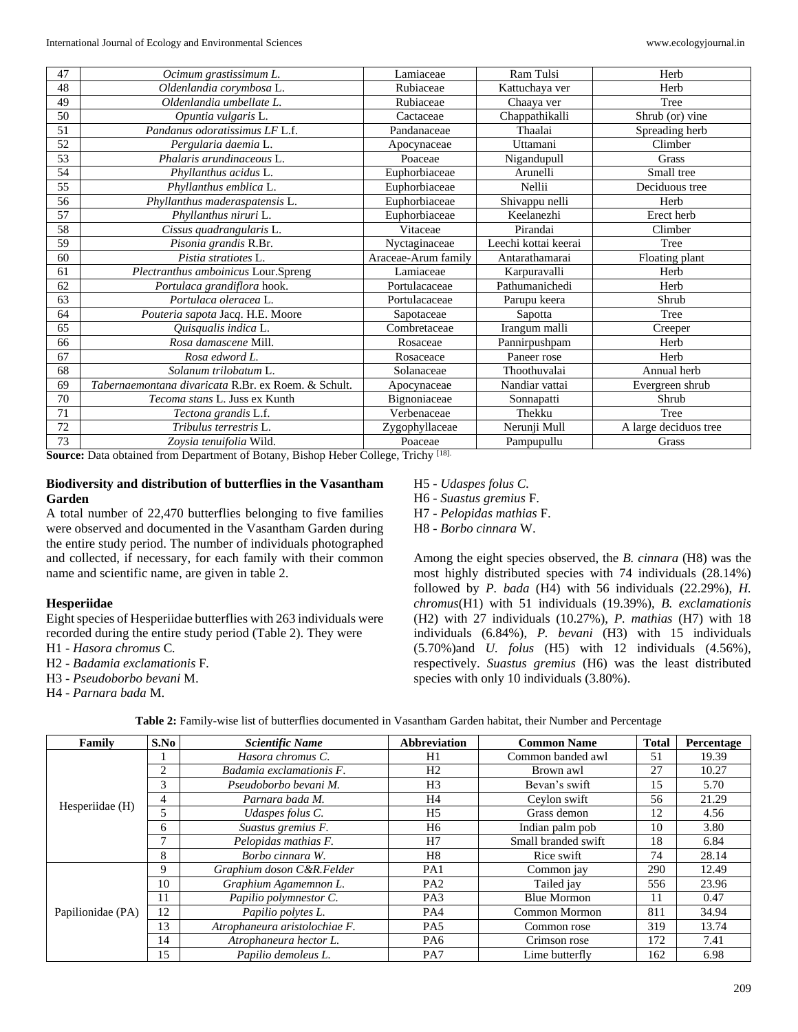| 47 | Ocimum grastissimum L.                              | Lamiaceae           | Ram Tulsi            | Herb                  |
|----|-----------------------------------------------------|---------------------|----------------------|-----------------------|
| 48 | Oldenlandia corymbosa L.                            | Rubiaceae           | Kattuchaya ver       | Herb                  |
| 49 | Oldenlandia umbellate L.                            | Rubiaceae           | Chaaya ver           | Tree                  |
| 50 | Opuntia vulgaris L.                                 | Cactaceae           | Chappathikalli       | Shrub (or) vine       |
| 51 | Pandanus odoratissimus LF L.f.                      | Pandanaceae         | Thaalai              | Spreading herb        |
| 52 | Pergularia daemia L.                                | Apocynaceae         | Uttamani             | Climber               |
| 53 | Phalaris arundinaceous L.                           | Poaceae             | Nigandupull          | Grass                 |
| 54 | Phyllanthus acidus L.                               | Euphorbiaceae       | Arunelli             | Small tree            |
| 55 | Phyllanthus emblica L.                              | Euphorbiaceae       | Nellii               | Deciduous tree        |
| 56 | Phyllanthus maderaspatensis L.                      | Euphorbiaceae       | Shivappu nelli       | Herb                  |
| 57 | Phyllanthus niruri L.                               | Euphorbiaceae       | Keelanezhi           | Erect herb            |
| 58 | Cissus quadrangularis L.                            | Vitaceae            | Pirandai             | Climber               |
| 59 | Pisonia grandis R.Br.                               | Nyctaginaceae       | Leechi kottai keerai | Tree                  |
| 60 | Pistia stratiotes L.                                | Araceae-Arum family | Antarathamarai       | Floating plant        |
| 61 | Plectranthus amboinicus Lour.Spreng                 | Lamiaceae           | Karpuravalli         | Herb                  |
| 62 | Portulaca grandiflora hook.                         | Portulacaceae       | Pathumanichedi       | Herb                  |
| 63 | Portulaca oleracea L.                               | Portulacaceae       | Parupu keera         | Shrub                 |
| 64 | Pouteria sapota Jacq. H.E. Moore                    | Sapotaceae          | Sapotta              | Tree                  |
| 65 | Quisqualis indica L.                                | Combretaceae        | Irangum malli        | Creeper               |
| 66 | Rosa damascene Mill.                                | Rosaceae            | Pannirpushpam        | Herb                  |
| 67 | Rosa edword L.                                      | Rosaceace           | Paneer rose          | Herb                  |
| 68 | Solanum trilobatum L.                               | Solanaceae          | Thoothuvalai         | Annual herb           |
| 69 | Tabernaemontana divaricata R.Br. ex Roem. & Schult. | Apocynaceae         | Nandiar vattai       | Evergreen shrub       |
| 70 | <i>Tecoma stans L. Juss ex Kunth</i>                | Bignoniaceae        | Sonnapatti           | Shrub                 |
| 71 | Tectona grandis L.f.                                | Verbenaceae         | Thekku               | Tree                  |
| 72 | Tribulus terrestris L.                              | Zygophyllaceae      | Nerunji Mull         | A large deciduos tree |
| 73 | Zoysia tenuifolia Wild.                             | Poaceae             | Pampupullu           | Grass                 |

**Source:** Data obtained from Department of Botany, Bishop Heber College, Trichy [18].

# **Biodiversity and distribution of butterflies in the Vasantham Garden**

A total number of 22,470 butterflies belonging to five families were observed and documented in the Vasantham Garden during the entire study period. The number of individuals photographed and collected, if necessary, for each family with their common name and scientific name, are given in table 2.

### **Hesperiidae**

Eight species of Hesperiidae butterflies with 263 individuals were recorded during the entire study period (Table 2). They were

- H1 *Hasora chromus* C*.*
- H2 *Badamia exclamationis* F*.*
- H3 *Pseudoborbo bevani* M.
- H4 *Parnara bada* M.

#### H5 - *Udaspes folus C.*

H6 - *Suastus gremius* F.

- H7 *Pelopidas mathias* F.
- H8 *Borbo cinnara* W.

Among the eight species observed, the *B. cinnara* (H8) was the most highly distributed species with 74 individuals (28.14%) followed by *P. bada* (H4) with 56 individuals (22.29%), *H. chromus*(H1) with 51 individuals (19.39%), *B. exclamationis*  (H2) with 27 individuals (10.27%), *P. mathias* (H7) with 18 individuals (6.84%), *P. bevani* (H3) with 15 individuals (5.70%)and *U. folus* (H5) with 12 individuals (4.56%), respectively. *Suastus gremius* (H6) was the least distributed species with only 10 individuals (3.80%).

| S.No<br>Family    |                | <b>Scientific Name</b>        | Abbreviation    | <b>Common Name</b>  |     | Percentage |
|-------------------|----------------|-------------------------------|-----------------|---------------------|-----|------------|
|                   |                | Hasora chromus C.             | H1              | Common banded awl   | 51  | 19.39      |
|                   | $\overline{c}$ | Badamia exclamationis F.      | H <sub>2</sub>  | Brown awl           | 27  | 10.27      |
|                   | 3              | Pseudoborbo bevani M.         | H <sub>3</sub>  | Bevan's swift       | 15  | 5.70       |
|                   | 4              | Parnara bada M.               | H4              | Ceylon swift        | 56  | 21.29      |
| Hesperiidae (H)   | 5              | Udaspes folus C.              | H <sub>5</sub>  | Grass demon         | 12  | 4.56       |
|                   | 6              | Suastus gremius F.            | H <sub>6</sub>  | Indian palm pob     | 10  | 3.80       |
|                   | $\mathbf{r}$   | Pelopidas mathias F.          | H7              | Small branded swift | 18  | 6.84       |
|                   | 8              | Borbo cinnara W.              | H8              | Rice swift          | 74  | 28.14      |
|                   | 9              | Graphium doson C&R.Felder     | PA1             | Common jay          | 290 | 12.49      |
|                   | 10             | Graphium Agamemnon L.         | PA <sub>2</sub> | Tailed jay          | 556 | 23.96      |
|                   | 11             | Papilio polymnestor C.        | PA <sub>3</sub> | <b>Blue Mormon</b>  | 11  | 0.47       |
| Papilionidae (PA) | 12             | Papilio polytes L.            | PA4             | Common Mormon       | 811 | 34.94      |
|                   | 13             | Atrophaneura aristolochiae F. | PA5             | Common rose         | 319 | 13.74      |
|                   | 14             | Atrophaneura hector L.        | PA6             | Crimson rose        | 172 | 7.41       |
|                   | 15             | Papilio demoleus L.           | PA7             | Lime butterfly      | 162 | 6.98       |

**Table 2:** Family-wise list of butterflies documented in Vasantham Garden habitat, their Number and Percentage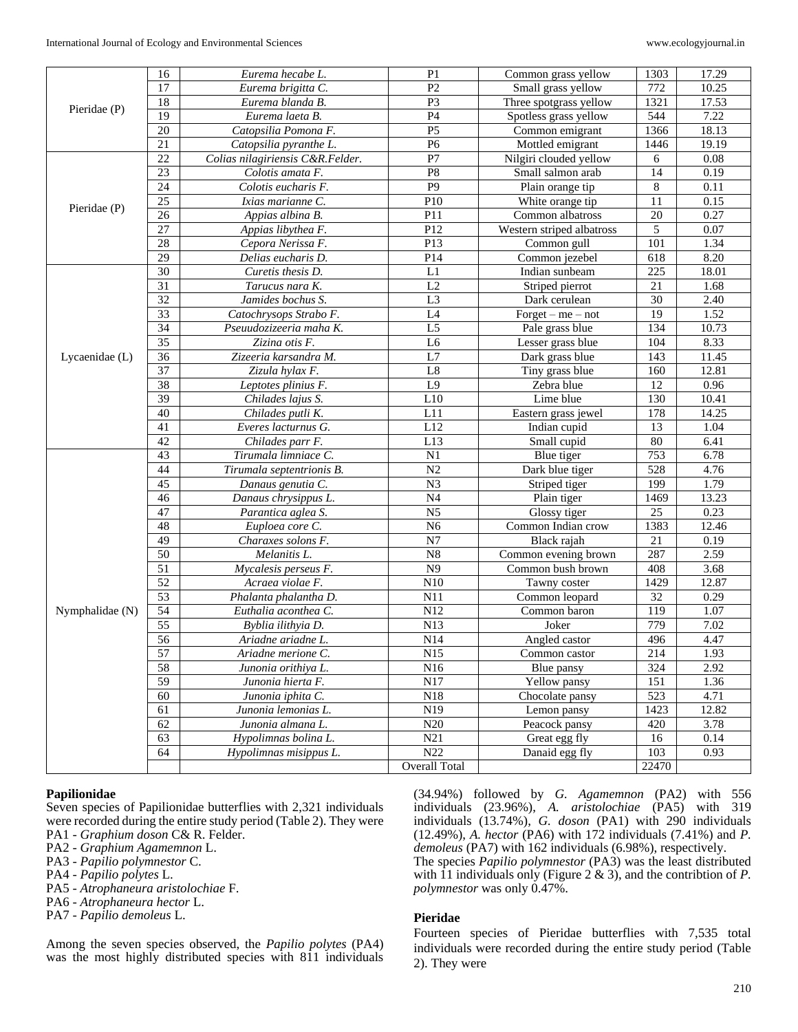|                 | 16              | Eurema hecabe L.                 | P <sub>1</sub>       | Common grass yellow       | 1303             | 17.29 |
|-----------------|-----------------|----------------------------------|----------------------|---------------------------|------------------|-------|
|                 | 17              | Eurema brigitta C.               | P <sub>2</sub>       | Small grass yellow        | 772              | 10.25 |
|                 | $\overline{18}$ | Eurema blanda B.                 | P <sub>3</sub>       | Three spotgrass yellow    | 1321             | 17.53 |
| Pieridae (P)    | $\overline{19}$ | Eurema laeta B.                  | P <sub>4</sub>       | Spotless grass yellow     | 544              | 7.22  |
|                 | 20              | Catopsilia Pomona F.             | P <sub>5</sub>       | Common emigrant           | 1366             | 18.13 |
|                 | 21              | Catopsilia pyranthe L.           | P <sub>6</sub>       | Mottled emigrant          | 1446             | 19.19 |
|                 | 22              | Colias nilagiriensis C&R.Felder. | P7                   | Nilgiri clouded yellow    | 6                | 0.08  |
|                 | 23              | Colotis amata F.                 | P <sub>8</sub>       | Small salmon arab         | 14               | 0.19  |
|                 | 24              | Colotis eucharis F.              | P <sub>9</sub>       | Plain orange tip          | $\,8\,$          | 0.11  |
| Pieridae (P)    | 25              | Ixias marianne C.                | P10                  | White orange tip          | 11               | 0.15  |
|                 | 26              | Appias albina B.                 | P11                  | Common albatross          | 20               | 0.27  |
|                 | 27              | Appias libythea F.               | P12                  | Western striped albatross | 5                | 0.07  |
|                 | 28              | P13<br>Cepora Nerissa F.         |                      | Common gull               | 101              | 1.34  |
|                 | 29              | Delias eucharis D.               | P14                  | Common jezebel            | 618              | 8.20  |
|                 | 30              | Curetis thesis D.                | L1                   | Indian sunbeam            | 225              | 18.01 |
|                 | $\overline{31}$ | Tarucus nara K.                  | L2                   | Striped pierrot           | $\overline{21}$  | 1.68  |
|                 | $\overline{32}$ | Jamides bochus S.                | L <sub>3</sub>       | Dark cerulean             | 30               | 2.40  |
|                 | 33              | Catochrysops Strabo F.           | L <sub>4</sub>       | $For get - me - not$      | 19               | 1.52  |
|                 | 34              | Pseuudozizeeria maha K.          | L <sub>5</sub>       | Pale grass blue           | 134              | 10.73 |
|                 | 35              | Zizina otis F.                   | L <sub>6</sub>       | Lesser grass blue         | 104              | 8.33  |
| Lycaenidae (L)  | 36              | Zizeeria karsandra M.            | L7                   | Dark grass blue           | 143              | 11.45 |
|                 | 37              | Zizula hylax F.                  | L8                   | Tiny grass blue           | 160              | 12.81 |
|                 | 38              | Leptotes plinius F.              | L9                   | Zebra blue                | 12               | 0.96  |
|                 | 39              | Chilades lajus S.                | L10                  | Lime blue                 | 130              | 10.41 |
|                 | 40              | Chilades putli K.                | L11                  | Eastern grass jewel       | 178              | 14.25 |
|                 | 41              | Everes lacturnus G.              | L12                  | Indian cupid              | 13               | 1.04  |
|                 | 42              | Chilades parr F.                 | L13                  | Small cupid               | 80               | 6.41  |
|                 | 43              | Tirumala limniace C.             | N <sub>1</sub>       | Blue tiger                | 753              | 6.78  |
|                 | 44              | Tirumala septentrionis B.        | $\overline{N2}$      | Dark blue tiger           | $\overline{528}$ | 4.76  |
|                 | $\overline{45}$ | Danaus genutia C.                | $\overline{N3}$      | Striped tiger             | 199              | 1.79  |
|                 | 46              | Danaus chrysippus L.             | $\overline{N4}$      | Plain tiger               | 1469             | 13.23 |
|                 | 47              | Parantica aglea S.               | N <sub>5</sub>       | Glossy tiger              | 25               | 0.23  |
|                 | 48              | Euploea core C.                  | N <sub>6</sub>       | Common Indian crow        | 1383             | 12.46 |
|                 | 49              | Charaxes solons F.               | N7                   | Black rajah               | 21               | 0.19  |
|                 | $\overline{50}$ | Melanitis L.                     | $\overline{N8}$      | Common evening brown      | 287              | 2.59  |
|                 | 51              | Mycalesis perseus F.             | $\overline{N9}$      | Common bush brown         | 408              | 3.68  |
|                 | $\overline{52}$ | Acraea violae F.                 | N10                  | Tawny coster              | 1429             | 12.87 |
|                 | 53              | Phalanta phalantha D.            | N11                  | Common leopard            | 32               | 0.29  |
| Nymphalidae (N) | 54              | Euthalia aconthea C.             | N12                  | Common baron              | 119              | 1.07  |
|                 | $\overline{55}$ | Byblia ilithyia D.               | N13                  | Joker                     | 779              | 7.02  |
|                 | $\overline{56}$ | Ariadne ariadne L.               | N14                  | Angled castor             | 496              | 4.47  |
|                 | 57              | Ariadne merione C.               | N15                  | Common castor             | 214              | 1.93  |
|                 | 58              | Junonia orithiya L.              | N16                  | Blue pansy                | 324              | 2.92  |
|                 | $\overline{59}$ | Junonia hierta F.                | $\overline{N17}$     | Yellow pansy              | 151              | 1.36  |
|                 | 60              | Junonia iphita C.                | N18                  | Chocolate pansy           | 523              | 4.71  |
|                 | 61              | Junonia lemonias L.              | N19                  | Lemon pansy               | 1423             | 12.82 |
|                 | 62              | Junonia almana L.                | N20                  | Peacock pansy             | 420              | 3.78  |
|                 | 63              | Hypolimnas bolina L.             | N21                  | Great egg fly             | 16               | 0.14  |
|                 | 64              | Hypolimnas misippus L.           | N22                  | Danaid egg fly            | 103              | 0.93  |
|                 |                 |                                  | <b>Overall Total</b> |                           | 22470            |       |

### **Papilionidae**

Seven species of Papilionidae butterflies with 2,321 individuals were recorded during the entire study period (Table 2). They were PA1 *- Graphium doson* C& R. Felder.

- PA2 *- Graphium Agamemnon* L.
- PA3 *- Papilio polymnestor* C.
- PA4 *- Papilio polytes* L.
- PA5 *- Atrophaneura aristolochiae* F.
- PA6 *- Atrophaneura hector* L.
- PA7 *- Papilio demoleus* L.

Among the seven species observed, the *Papilio polytes* (PA4) was the most highly distributed species with 811 individuals

(34.94%) followed by *G. Agamemnon* (PA2) with 556 individuals (23.96%), *A. aristolochiae* (PA5) with 319 individuals (13.74%), *G. doson* (PA1) with 290 individuals (12.49%), *A. hector* (PA6) with 172 individuals (7.41%) and *P. demoleus* (PA7) with 162 individuals (6.98%), respectively.

The species *Papilio polymnestor* (PA3) was the least distributed with 11 individuals only (Figure 2 & 3), and the contribtion of *P. polymnestor* was only 0.47%.

# **Pieridae**

Fourteen species of Pieridae butterflies with 7,535 total individuals were recorded during the entire study period (Table 2). They were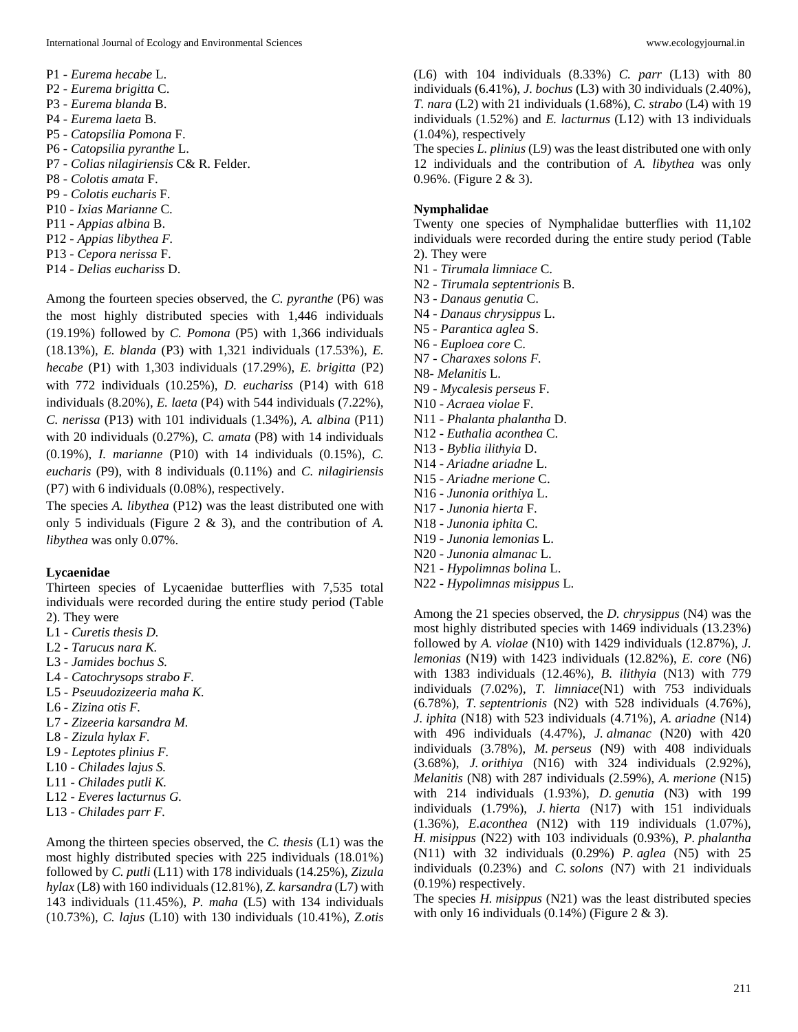- P1 *- Eurema hecabe* L.
- P2 *- Eurema brigitta* C.
- P3 *- Eurema blanda* B.
- P4 *- Eurema laeta* B.
- P5 *- Catopsilia Pomona* F.
- P6 *- Catopsilia pyranthe* L.
- P7 *- Colias nilagiriensis* C& R. Felder.
- P8 *- Colotis amata* F.
- P9 *- Colotis eucharis* F.
- P10 *- Ixias Marianne* C.
- P11 *- Appias albina* B.
- P12 *- Appias libythea F.*
- P13 *- Cepora nerissa* F.
- P14 *- Delias euchariss* D.

Among the fourteen species observed, the *C. pyranthe* (P6) was the most highly distributed species with 1,446 individuals (19.19%) followed by *C. Pomona* (P5) with 1,366 individuals (18.13%), *E. blanda* (P3) with 1,321 individuals (17.53%), *E. hecabe* (P1) with 1,303 individuals (17.29%), *E. brigitta* (P2) with 772 individuals (10.25%), *D. euchariss* (P14) with 618 individuals (8.20%), *E. laeta* (P4) with 544 individuals (7.22%), *C. nerissa* (P13) with 101 individuals (1.34%), *A. albina* (P11) with 20 individuals (0.27%), *C. amata* (P8) with 14 individuals (0.19%), *I. marianne* (P10) with 14 individuals (0.15%), *C. eucharis* (P9), with 8 individuals (0.11%) and *C. nilagiriensis* (P7) with 6 individuals (0.08%), respectively.

The species *A. libythea* (P12) was the least distributed one with only 5 individuals (Figure 2 & 3), and the contribution of *A. libythea* was only 0.07%.

### **Lycaenidae**

Thirteen species of Lycaenidae butterflies with 7,535 total individuals were recorded during the entire study period (Table 2). They were

- L1 *- Curetis thesis D.*
- L2 *- Tarucus nara K.*
- L3 *- Jamides bochus S.*
- L4 *- Catochrysops strabo F.*
- L5 *- Pseuudozizeeria maha K.*
- L6 *- Zizina otis F.*
- L7 *- Zizeeria karsandra M.*
- L8 *- Zizula hylax F.*
- L9 *- Leptotes plinius F.*
- L10 *- Chilades lajus S.*
- L11 *- Chilades putli K.*
- L12 *- Everes lacturnus G.*
- L13 *- Chilades parr F.*

Among the thirteen species observed, the *C. thesis* (L1) was the most highly distributed species with 225 individuals (18.01%) followed by *C. putli* (L11) with 178 individuals (14.25%), *Zizula hylax* (L8) with 160 individuals (12.81%), *Z. karsandra* (L7) with 143 individuals (11.45%), *P. maha* (L5) with 134 individuals (10.73%), *C. lajus* (L10) with 130 individuals (10.41%), *Z.otis*  (L6) with 104 individuals (8.33%) *C. parr* (L13) with 80 individuals (6.41%), *J. bochus* (L3) with 30 individuals (2.40%), *T. nara* (L2) with 21 individuals (1.68%), *C. strabo* (L4) with 19 individuals (1.52%) and *E. lacturnus* (L12) with 13 individuals (1.04%), respectively

The species *L. plinius* (L9) was the least distributed one with only 12 individuals and the contribution of *A. libythea* was only 0.96%. (Figure 2 & 3).

# **Nymphalidae**

Twenty one species of Nymphalidae butterflies with 11,102 individuals were recorded during the entire study period (Table 2). They were

- N1 *- Tirumala limniace* C.
- N2 *- Tirumala septentrionis* B.
- N3 *- Danaus genutia* C.
- N4 *- Danaus chrysippus* L.
- N5 *- Parantica aglea* S.
- N6 *- Euploea core* C.
- N7 *- Charaxes solons F.*
- N8*- Melanitis* L.
- N9 *- Mycalesis perseus* F.
- N10 *- Acraea violae* F.
- N11 *- Phalanta phalantha* D.
- N12 *- Euthalia aconthea* C.
- N13 *- Byblia ilithyia* D.
- N14 *- Ariadne ariadne* L.
- N15 *- Ariadne merione* C.
- N16 *- Junonia orithiya* L.
- N17 *- Junonia hierta* F.
- N18 *- Junonia iphita* C.
- N19 *- Junonia lemonias* L.
- N20 *- Junonia almanac* L.
- N21 *- Hypolimnas bolina* L.
- N22 *- Hypolimnas misippus* L.

Among the 21 species observed, the *D. chrysippus* (N4) was the most highly distributed species with 1469 individuals (13.23%) followed by *A. violae* (N10) with 1429 individuals (12.87%), *J. lemonias* (N19) with 1423 individuals (12.82%), *E. core* (N6) with 1383 individuals (12.46%), *B. ilithyia* (N13) with 779 individuals (7.02%), *T. limniace*(N1) with 753 individuals (6.78%), *T. septentrionis* (N2) with 528 individuals (4.76%), *J. iphita* (N18) with 523 individuals (4.71%), *A. ariadne* (N14) with 496 individuals (4.47%), *J. almanac* (N20) with 420 individuals (3.78%), *M. perseus* (N9) with 408 individuals (3.68%), *J. orithiya* (N16) with 324 individuals (2.92%), *Melanitis* (N8) with 287 individuals (2.59%), *A. merione* (N15) with 214 individuals (1.93%), *D. genutia* (N3) with 199 individuals (1.79%), *J. hierta* (N17) with 151 individuals (1.36%), *E.aconthea* (N12) with 119 individuals (1.07%), *H. misippus* (N22) with 103 individuals (0.93%), *P. phalantha*  (N11) with 32 individuals (0.29%) *P. aglea* (N5) with 25 individuals (0.23%) and *C. solons* (N7) with 21 individuals (0.19%) respectively.

The species *H. misippus* (N21) was the least distributed species with only 16 individuals  $(0.14\%)$  (Figure 2 & 3).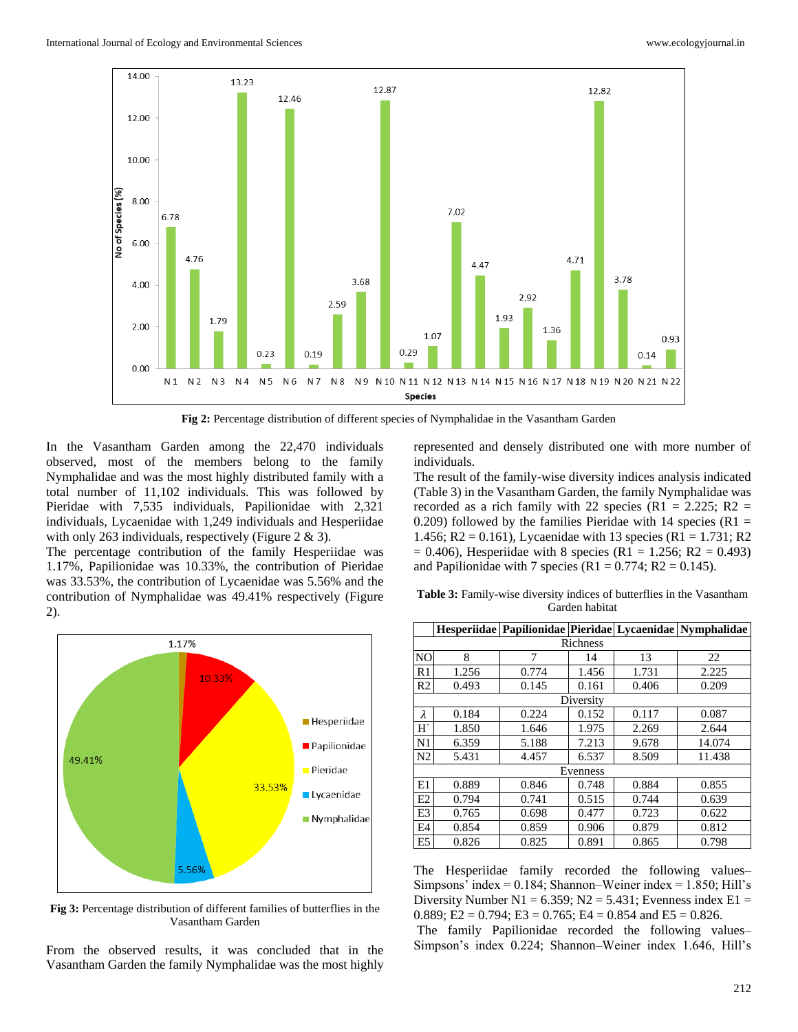

**Fig 2:** Percentage distribution of different species of Nymphalidae in the Vasantham Garden

In the Vasantham Garden among the 22,470 individuals observed, most of the members belong to the family Nymphalidae and was the most highly distributed family with a total number of 11,102 individuals. This was followed by Pieridae with 7,535 individuals, Papilionidae with 2,321 individuals, Lycaenidae with 1,249 individuals and Hesperiidae with only 263 individuals, respectively (Figure 2 & 3).

The percentage contribution of the family Hesperiidae was 1.17%, Papilionidae was 10.33%, the contribution of Pieridae was 33.53%, the contribution of Lycaenidae was 5.56% and the contribution of Nymphalidae was 49.41% respectively (Figure 2).



**Fig 3:** Percentage distribution of different families of butterflies in the Vasantham Garden

From the observed results, it was concluded that in the Vasantham Garden the family Nymphalidae was the most highly

represented and densely distributed one with more number of individuals.

The result of the family-wise diversity indices analysis indicated (Table 3) in the Vasantham Garden, the family Nymphalidae was recorded as a rich family with 22 species (R1 = 2.225; R2 = 0.209) followed by the families Pieridae with 14 species ( $R1 =$ 1.456; R2 = 0.161), Lycaenidae with 13 species (R1 = 1.731; R2  $= 0.406$ ), Hesperiidae with 8 species (R1 = 1.256; R2 = 0.493) and Papilionidae with 7 species (R1 =  $0.774$ ; R2 =  $0.145$ ).

**Table 3:** Family-wise diversity indices of butterflies in the Vasantham Garden habitat

|                |          |       |           |       | Hesperiidae Papilionidae Pieridae Lycaenidae Nymphalidae |  |  |  |
|----------------|----------|-------|-----------|-------|----------------------------------------------------------|--|--|--|
|                | Richness |       |           |       |                                                          |  |  |  |
| N <sub>O</sub> | 8        | 7     | 14        | 13    | 22                                                       |  |  |  |
| R1             | 1.256    | 0.774 | 1.456     | 1.731 | 2.225                                                    |  |  |  |
| R2             | 0.493    | 0.145 | 0.161     | 0.406 | 0.209                                                    |  |  |  |
|                |          |       | Diversity |       |                                                          |  |  |  |
| λ              | 0.184    | 0.224 | 0.152     | 0.117 | 0.087                                                    |  |  |  |
| H'             | 1.850    | 1.646 | 1.975     | 2.269 | 2.644                                                    |  |  |  |
| N1             | 6.359    | 5.188 | 7.213     | 9.678 | 14.074                                                   |  |  |  |
| N <sub>2</sub> | 5.431    | 4.457 | 6.537     | 8.509 | 11.438                                                   |  |  |  |
|                | Evenness |       |           |       |                                                          |  |  |  |
| E1             | 0.889    | 0.846 | 0.748     | 0.884 | 0.855                                                    |  |  |  |
| E <sub>2</sub> | 0.794    | 0.741 | 0.515     | 0.744 | 0.639                                                    |  |  |  |
| E <sub>3</sub> | 0.765    | 0.698 | 0.477     | 0.723 | 0.622                                                    |  |  |  |
| E <sub>4</sub> | 0.854    | 0.859 | 0.906     | 0.879 | 0.812                                                    |  |  |  |
| E <sub>5</sub> | 0.826    | 0.825 | 0.891     | 0.865 | 0.798                                                    |  |  |  |

The Hesperiidae family recorded the following values– Simpsons' index =  $0.184$ ; Shannon–Weiner index =  $1.850$ ; Hill's Diversity Number N1 =  $6.359$ ; N2 =  $5.431$ ; Evenness index E1 = 0.889; E2 = 0.794; E3 = 0.765; E4 = 0.854 and E5 = 0.826.

The family Papilionidae recorded the following values– Simpson's index 0.224; Shannon–Weiner index 1.646, Hill's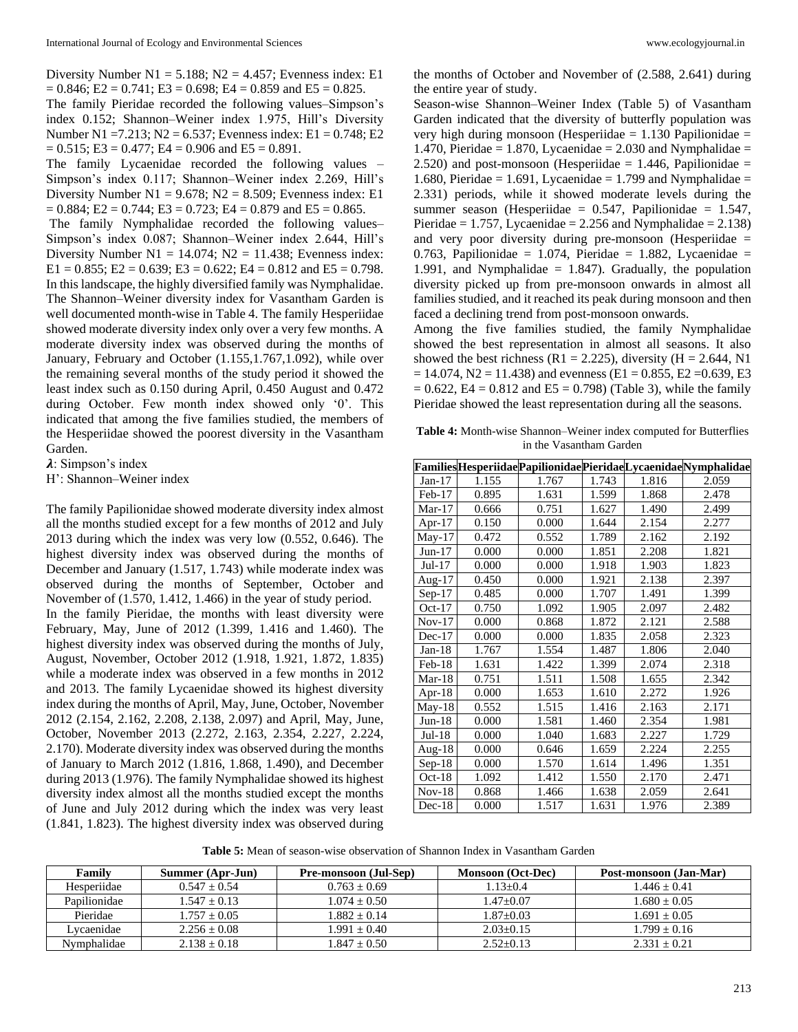Diversity Number  $N1 = 5.188$ ;  $N2 = 4.457$ ; Evenness index: E1  $= 0.846$ ; E2  $= 0.741$ ; E3  $= 0.698$ ; E4  $= 0.859$  and E5  $= 0.825$ .

The family Pieridae recorded the following values–Simpson's index 0.152; Shannon–Weiner index 1.975, Hill's Diversity Number N1 =7.213; N2 = 6.537; Evenness index: E1 = 0.748; E2  $= 0.515$ ; E3  $= 0.477$ ; E4  $= 0.906$  and E5  $= 0.891$ .

The family Lycaenidae recorded the following values – Simpson's index 0.117; Shannon–Weiner index 2.269, Hill's Diversity Number  $N1 = 9.678$ ;  $N2 = 8.509$ ; Evenness index: E1  $= 0.884$ ; E2 = 0.744; E3 = 0.723; E4 = 0.879 and E5 = 0.865.

The family Nymphalidae recorded the following values– Simpson's index 0.087; Shannon–Weiner index 2.644, Hill's Diversity Number  $N1 = 14.074$ ;  $N2 = 11.438$ ; Evenness index:  $E1 = 0.855$ ;  $E2 = 0.639$ ;  $E3 = 0.622$ ;  $E4 = 0.812$  and  $E5 = 0.798$ . In this landscape, the highly diversified family was Nymphalidae. The Shannon–Weiner diversity index for Vasantham Garden is well documented month-wise in Table 4. The family Hesperiidae showed moderate diversity index only over a very few months. A moderate diversity index was observed during the months of January, February and October (1.155,1.767,1.092), while over the remaining several months of the study period it showed the least index such as 0.150 during April, 0.450 August and 0.472 during October. Few month index showed only '0'. This indicated that among the five families studied, the members of the Hesperiidae showed the poorest diversity in the Vasantham Garden.

 $\lambda$ : Simpson's index

H': Shannon–Weiner index

The family Papilionidae showed moderate diversity index almost all the months studied except for a few months of 2012 and July 2013 during which the index was very low (0.552, 0.646). The highest diversity index was observed during the months of December and January (1.517, 1.743) while moderate index was observed during the months of September, October and November of (1.570, 1.412, 1.466) in the year of study period. In the family Pieridae, the months with least diversity were February, May, June of 2012 (1.399, 1.416 and 1.460). The highest diversity index was observed during the months of July, August, November, October 2012 (1.918, 1.921, 1.872, 1.835) while a moderate index was observed in a few months in 2012 and 2013. The family Lycaenidae showed its highest diversity index during the months of April, May, June, October, November 2012 (2.154, 2.162, 2.208, 2.138, 2.097) and April, May, June, October, November 2013 (2.272, 2.163, 2.354, 2.227, 2.224, 2.170). Moderate diversity index was observed during the months of January to March 2012 (1.816, 1.868, 1.490), and December during 2013 (1.976). The family Nymphalidae showed its highest diversity index almost all the months studied except the months of June and July 2012 during which the index was very least (1.841, 1.823). The highest diversity index was observed during

the months of October and November of (2.588, 2.641) during the entire year of study.

Season-wise Shannon–Weiner Index (Table 5) of Vasantham Garden indicated that the diversity of butterfly population was very high during monsoon (Hesperiidae  $= 1.130$  Papilionidae  $=$ 1.470, Pieridae = 1.870, Lycaenidae =  $2.030$  and Nymphalidae = 2.520) and post-monsoon (Hesperiidae  $= 1.446$ , Papilionidae  $=$ 1.680, Pieridae = 1.691, Lycaenidae = 1.799 and Nymphalidae = 2.331) periods, while it showed moderate levels during the summer season (Hesperiidae =  $0.547$ , Papilionidae = 1.547, Pieridae =  $1.757$ , Lycaenidae =  $2.256$  and Nymphalidae =  $2.138$ ) and very poor diversity during pre-monsoon (Hesperiidae = 0.763, Papilionidae = 1.074, Pieridae = 1.882, Lycaenidae = 1.991, and Nymphalidae  $= 1.847$ . Gradually, the population diversity picked up from pre-monsoon onwards in almost all families studied, and it reached its peak during monsoon and then faced a declining trend from post-monsoon onwards.

Among the five families studied, the family Nymphalidae showed the best representation in almost all seasons. It also showed the best richness (R1 = 2.225), diversity (H = 2.644, N1  $= 14.074$ , N2 = 11.438) and evenness (E1 = 0.855, E2 = 0.639, E3  $= 0.622$ , E4  $= 0.812$  and E5  $= 0.798$ ) (Table 3), while the family Pieridae showed the least representation during all the seasons.

**Table 4:** Month-wise Shannon–Weiner index computed for Butterflies in the Vasantham Garden

|           |       |       |       |       | FamiliesHesperiidaePapilionidaePieridaeLycaenidaeNymphalidae |
|-----------|-------|-------|-------|-------|--------------------------------------------------------------|
| $Jan-17$  | 1.155 | 1.767 | 1.743 | 1.816 | 2.059                                                        |
| $Feb-17$  | 0.895 | 1.631 | 1.599 | 1.868 | 2.478                                                        |
| $Mar-17$  | 0.666 | 0.751 | 1.627 | 1.490 | 2.499                                                        |
| Apr- $17$ | 0.150 | 0.000 | 1.644 | 2.154 | 2.277                                                        |
| $May-17$  | 0.472 | 0.552 | 1.789 | 2.162 | 2.192                                                        |
| $Jun-17$  | 0.000 | 0.000 | 1.851 | 2.208 | 1.821                                                        |
| $Jul-17$  | 0.000 | 0.000 | 1.918 | 1.903 | 1.823                                                        |
| Aug- $17$ | 0.450 | 0.000 | 1.921 | 2.138 | 2.397                                                        |
| $Sep-17$  | 0.485 | 0.000 | 1.707 | 1.491 | 1.399                                                        |
| $Oct-17$  | 0.750 | 1.092 | 1.905 | 2.097 | 2.482                                                        |
| $Nov-17$  | 0.000 | 0.868 | 1.872 | 2.121 | 2.588                                                        |
| $Dec-17$  | 0.000 | 0.000 | 1.835 | 2.058 | 2.323                                                        |
| $Jan-18$  | 1.767 | 1.554 | 1.487 | 1.806 | 2.040                                                        |
| $Feb-18$  | 1.631 | 1.422 | 1.399 | 2.074 | 2.318                                                        |
| $Mar-18$  | 0.751 | 1.511 | 1.508 | 1.655 | 2.342                                                        |
| Apr- $18$ | 0.000 | 1.653 | 1.610 | 2.272 | 1.926                                                        |
| $May-18$  | 0.552 | 1.515 | 1.416 | 2.163 | 2.171                                                        |
| $Jun-18$  | 0.000 | 1.581 | 1.460 | 2.354 | 1.981                                                        |
| $Jul-18$  | 0.000 | 1.040 | 1.683 | 2.227 | 1.729                                                        |
| Aug- $18$ | 0.000 | 0.646 | 1.659 | 2.224 | 2.255                                                        |
| $Sep-18$  | 0.000 | 1.570 | 1.614 | 1.496 | 1.351                                                        |
| $Oct-18$  | 1.092 | 1.412 | 1.550 | 2.170 | 2.471                                                        |
| $Nov-18$  | 0.868 | 1.466 | 1.638 | 2.059 | 2.641                                                        |
| $Dec-18$  | 0.000 | 1.517 | 1.631 | 1.976 | 2.389                                                        |

**Table 5:** Mean of season-wise observation of Shannon Index in Vasantham Garden

| Family       | Summer (Apr-Jun) | <b>Pre-monsoon</b> (Jul-Sep) | <b>Monsoon</b> (Oct-Dec) | Post-monsoon (Jan-Mar) |
|--------------|------------------|------------------------------|--------------------------|------------------------|
| Hesperiidae  | $0.547 + 0.54$   | $0.763 + 0.69$               | $1.13 + 0.4$             | $1.446 + 0.41$         |
| Papilionidae | $1.547 + 0.13$   | $1.074 + 0.50$               | 1.47+0.07                | $1.680 + 0.05$         |
| Pieridae     | $1.757 + 0.05$   | $1.882 + 0.14$               | $1.87+0.03$              | $1.691 + 0.05$         |
| Lvcaenidae   | $2.256 + 0.08$   | $1.991 + 0.40$               | $2.03+0.15$              | $1.799 + 0.16$         |
| Nymphalidae  | $2.138 + 0.18$   | $1.847 + 0.50$               | $2.52 \pm 0.13$          | $2.331 + 0.21$         |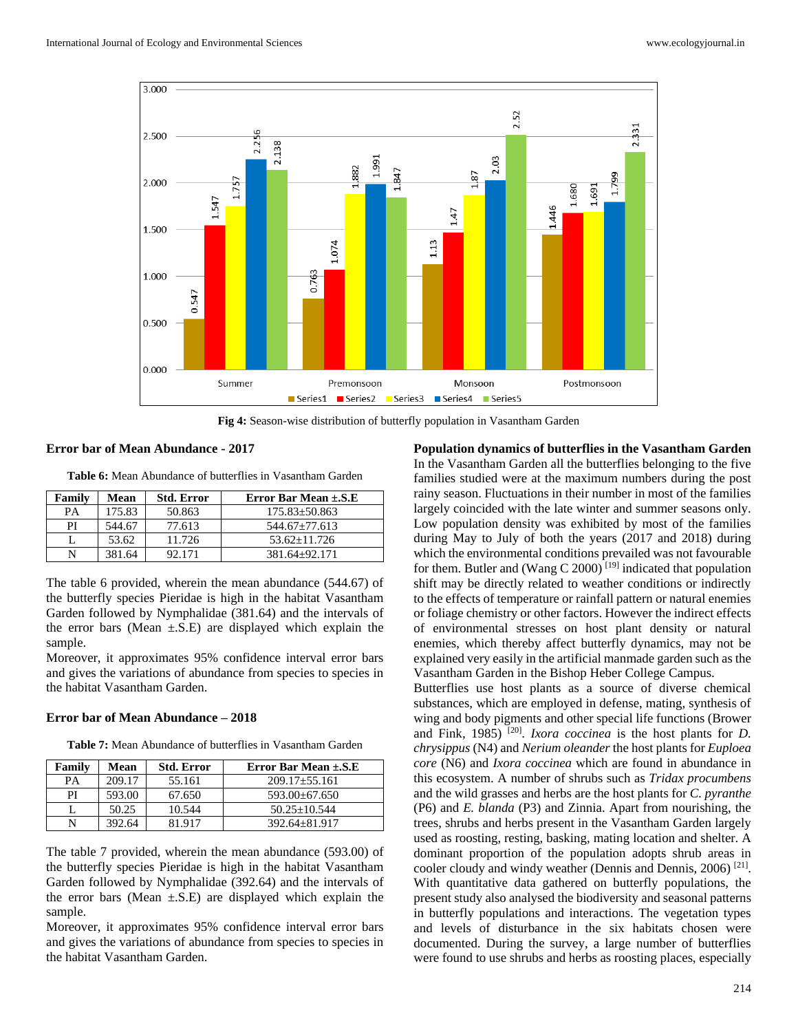

**Fig 4:** Season-wise distribution of butterfly population in Vasantham Garden

#### **Error bar of Mean Abundance - 2017**

**Table 6:** Mean Abundance of butterflies in Vasantham Garden

| Family | <b>Mean</b> | <b>Std. Error</b> | Error Bar Mean $\pm$ .S.E |
|--------|-------------|-------------------|---------------------------|
| PА     | 175.83      | 50.863            | $175.83 \pm 50.863$       |
| PI     | 544.67      | 77.613            | $544.67 \pm 77.613$       |
|        | 53.62       | 11.726            | $53.62 + 11.726$          |
| N      | 381.64      | 92.171            | 381.64+92.171             |

The table 6 provided, wherein the mean abundance (544.67) of the butterfly species Pieridae is high in the habitat Vasantham Garden followed by Nymphalidae (381.64) and the intervals of the error bars (Mean  $\pm$ .S.E) are displayed which explain the sample.

Moreover, it approximates 95% confidence interval error bars and gives the variations of abundance from species to species in the habitat Vasantham Garden.

#### **Error bar of Mean Abundance – 2018**

**Table 7:** Mean Abundance of butterflies in Vasantham Garden

| Family | Mean   | <b>Std. Error</b> | Error Bar Mean $\pm$ .S.E |
|--------|--------|-------------------|---------------------------|
| PА     | 209.17 | 55.161            | $209.17 + 55.161$         |
| РI     | 593.00 | 67.650            | $593.00 + 67.650$         |
|        | 50.25  | 10.544            | $50.25 + 10.544$          |
|        | 392.64 | 81 917            | $392.64 + 81.917$         |

The table 7 provided, wherein the mean abundance (593.00) of the butterfly species Pieridae is high in the habitat Vasantham Garden followed by Nymphalidae (392.64) and the intervals of the error bars (Mean  $\pm$ .S.E) are displayed which explain the sample.

Moreover, it approximates 95% confidence interval error bars and gives the variations of abundance from species to species in the habitat Vasantham Garden.

**Population dynamics of butterflies in the Vasantham Garden** In the Vasantham Garden all the butterflies belonging to the five families studied were at the maximum numbers during the post rainy season. Fluctuations in their number in most of the families largely coincided with the late winter and summer seasons only. Low population density was exhibited by most of the families during May to July of both the years (2017 and 2018) during which the environmental conditions prevailed was not favourable for them. Butler and (Wang C 2000)<sup>[19]</sup> indicated that population shift may be directly related to weather conditions or indirectly to the effects of temperature or rainfall pattern or natural enemies or foliage chemistry or other factors. However the indirect effects of environmental stresses on host plant density or natural enemies, which thereby affect butterfly dynamics, may not be explained very easily in the artificial manmade garden such as the Vasantham Garden in the Bishop Heber College Campus.

Butterflies use host plants as a source of diverse chemical substances, which are employed in defense, mating, synthesis of wing and body pigments and other special life functions (Brower and Fink, 1985)<sup>[20]</sup>. *Ixora coccinea* is the host plants for *D*. *chrysippus* (N4) and *Nerium oleander* the host plants for *Euploea core* (N6) and *Ixora coccinea* which are found in abundance in this ecosystem. A number of shrubs such as *Tridax procumbens*  and the wild grasses and herbs are the host plants for *C. pyranthe*  (P6) and *E. blanda* (P3) and Zinnia. Apart from nourishing, the trees, shrubs and herbs present in the Vasantham Garden largely used as roosting, resting, basking, mating location and shelter. A dominant proportion of the population adopts shrub areas in cooler cloudy and windy weather (Dennis and Dennis, 2006)<sup>[21]</sup>. With quantitative data gathered on butterfly populations, the present study also analysed the biodiversity and seasonal patterns in butterfly populations and interactions. The vegetation types and levels of disturbance in the six habitats chosen were documented. During the survey, a large number of butterflies were found to use shrubs and herbs as roosting places, especially